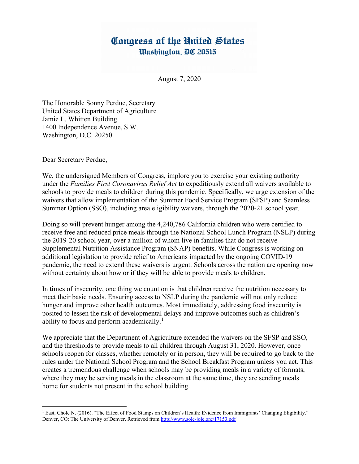## Congress of the United States Washington, DC 20515

August 7, 2020

The Honorable Sonny Perdue, Secretary United States Department of Agriculture Jamie L. Whitten Building 1400 Independence Avenue, S.W. Washington, D.C. 20250

Dear Secretary Perdue,

We, the undersigned Members of Congress, implore you to exercise your existing authority under the Families First Coronavirus Relief Act to expeditiously extend all waivers available to schools to provide meals to children during this pandemic. Specifically, we urge extension of the waivers that allow implementation of the Summer Food Service Program (SFSP) and Seamless Summer Option (SSO), including area eligibility waivers, through the 2020-21 school year.

Doing so will prevent hunger among the 4,240,786 California children who were certified to receive free and reduced price meals through the National School Lunch Program (NSLP) during the 2019-20 school year, over a million of whom live in families that do not receive Supplemental Nutrition Assistance Program (SNAP) benefits. While Congress is working on additional legislation to provide relief to Americans impacted by the ongoing COVID-19 pandemic, the need to extend these waivers is urgent. Schools across the nation are opening now without certainty about how or if they will be able to provide meals to children.

In times of insecurity, one thing we count on is that children receive the nutrition necessary to meet their basic needs. Ensuring access to NSLP during the pandemic will not only reduce hunger and improve other health outcomes. Most immediately, addressing food insecurity is posited to lessen the risk of developmental delays and improve outcomes such as children's ability to focus and perform academically.<sup>1</sup>

We appreciate that the Department of Agriculture extended the waivers on the SFSP and SSO, and the thresholds to provide meals to all children through August 31, 2020. However, once schools reopen for classes, whether remotely or in person, they will be required to go back to the rules under the National School Program and the School Breakfast Program unless you act. This creates a tremendous challenge when schools may be providing meals in a variety of formats, where they may be serving meals in the classroom at the same time, they are sending meals home for students not present in the school building.

<sup>&</sup>lt;sup>1</sup> East, Chole N. (2016). "The Effect of Food Stamps on Children's Health: Evidence from Immigrants' Changing Eligibility." Denver, CO: The University of Denver. Retrieved from http://www.sole-jole.org/17153.pdf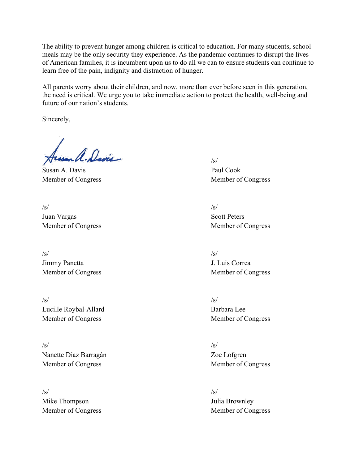The ability to prevent hunger among children is critical to education. For many students, school meals may be the only security they experience. As the pandemic continues to disrupt the lives of American families, it is incumbent upon us to do all we can to ensure students can continue to learn free of the pain, indignity and distraction of hunger.

All parents worry about their children, and now, more than ever before seen in this generation, the need is critical. We urge you to take immediate action to protect the health, well-being and future of our nation's students.

Sincerely,

mal. Davis

Susan A. Davis Paul Cook Member of Congress Member of Congress

 $/\text{s}/$   $/\text{s}/$ Juan Vargas Scott Peters Member of Congress Member of Congress

 $/\text{s}/$   $/\text{s}/$ J. Luis Correa J. Luis Correa

 $/\mathrm{s}/\mathrm{s}/\mathrm{s}$ Lucille Roybal-Allard Barbara Lee Member of Congress Member of Congress

 $/\text{s}/$   $/\text{s}/$ Nanette Diaz Barragán Zoe Lofgren Member of Congress Member of Congress

 $/\text{s}/$   $/\text{s}/$ Mike Thompson Julia Brownley

Member of Congress Member of Congress

Member of Congress Member of Congress